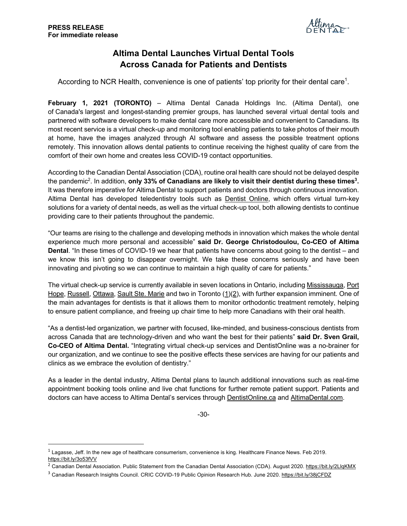

## **Altima Dental Launches Virtual Dental Tools Across Canada for Patients and Dentists**

According to NCR Health, convenience is one of patients' top priority for their dental care<sup>1</sup>.

**February 1, 2021 (TORONTO)** – Altima Dental Canada Holdings Inc. (Altima Dental), one of Canada's largest and longest-standing premier groups, has launched several virtual dental tools and partnered with software developers to make dental care more accessible and convenient to Canadians. Its most recent service is a virtual check-up and monitoring tool enabling patients to take photos of their mouth at home, have the images analyzed through AI software and assess the possible treatment options remotely. This innovation allows dental patients to continue receiving the highest quality of care from the comfort of their own home and creates less COVID-19 contact opportunities.

According to the Canadian Dental Association (CDA), routine oral health care should not be delayed despite the pandemic2. In addition, **only 33% of Canadians are likely to visit their dentist during these times3.**  It was therefore imperative for Altima Dental to support patients and doctors through continuous innovation. Altima Dental has developed teledentistry tools such as Dentist Online, which offers virtual turn-key solutions for a variety of dental needs, as well as the virtual check-up tool, both allowing dentists to continue providing care to their patients throughout the pandemic.

"Our teams are rising to the challenge and developing methods in innovation which makes the whole dental experience much more personal and accessible" **said Dr. George Christodoulou, Co-CEO of Altima Dental**. "In these times of COVID-19 we hear that patients have concerns about going to the dentist – and we know this isn't going to disappear overnight. We take these concerns seriously and have been innovating and pivoting so we can continue to maintain a high quality of care for patients."

The virtual check-up service is currently available in seven locations in Ontario, including Mississauga, Port Hope, Russell, Ottawa, Sault Ste. Marie and two in Toronto (1)(2), with further expansion imminent. One of the main advantages for dentists is that it allows them to monitor orthodontic treatment remotely, helping to ensure patient compliance, and freeing up chair time to help more Canadians with their oral health.

"As a dentist-led organization, we partner with focused, like-minded, and business-conscious dentists from across Canada that are technology-driven and who want the best for their patients" **said Dr. Sven Grail, Co-CEO of Altima Dental.** "Integrating virtual check-up services and DentistOnline was a no-brainer for our organization, and we continue to see the positive effects these services are having for our patients and clinics as we embrace the evolution of dentistry."

As a leader in the dental industry, Altima Dental plans to launch additional innovations such as real-time appointment booking tools online and live chat functions for further remote patient support. Patients and doctors can have access to Altima Dental's services through DentistOnline.ca and AltimaDental.com.

-30-

 $1$  Lagasse, Jeff. In the new age of healthcare consumerism, convenience is king. Healthcare Finance News. Feb 2019. https://bit.ly/3o53fVV

<sup>&</sup>lt;sup>2</sup> Canadian Dental Association. Public Statement from the Canadian Dental Association (CDA). August 2020. https://bit.ly/2LlqKMX

<sup>&</sup>lt;sup>3</sup> Canadian Research Insights Council. CRIC COVID-19 Public Opinion Research Hub. June 2020. https://bit.ly/38jCFDZ